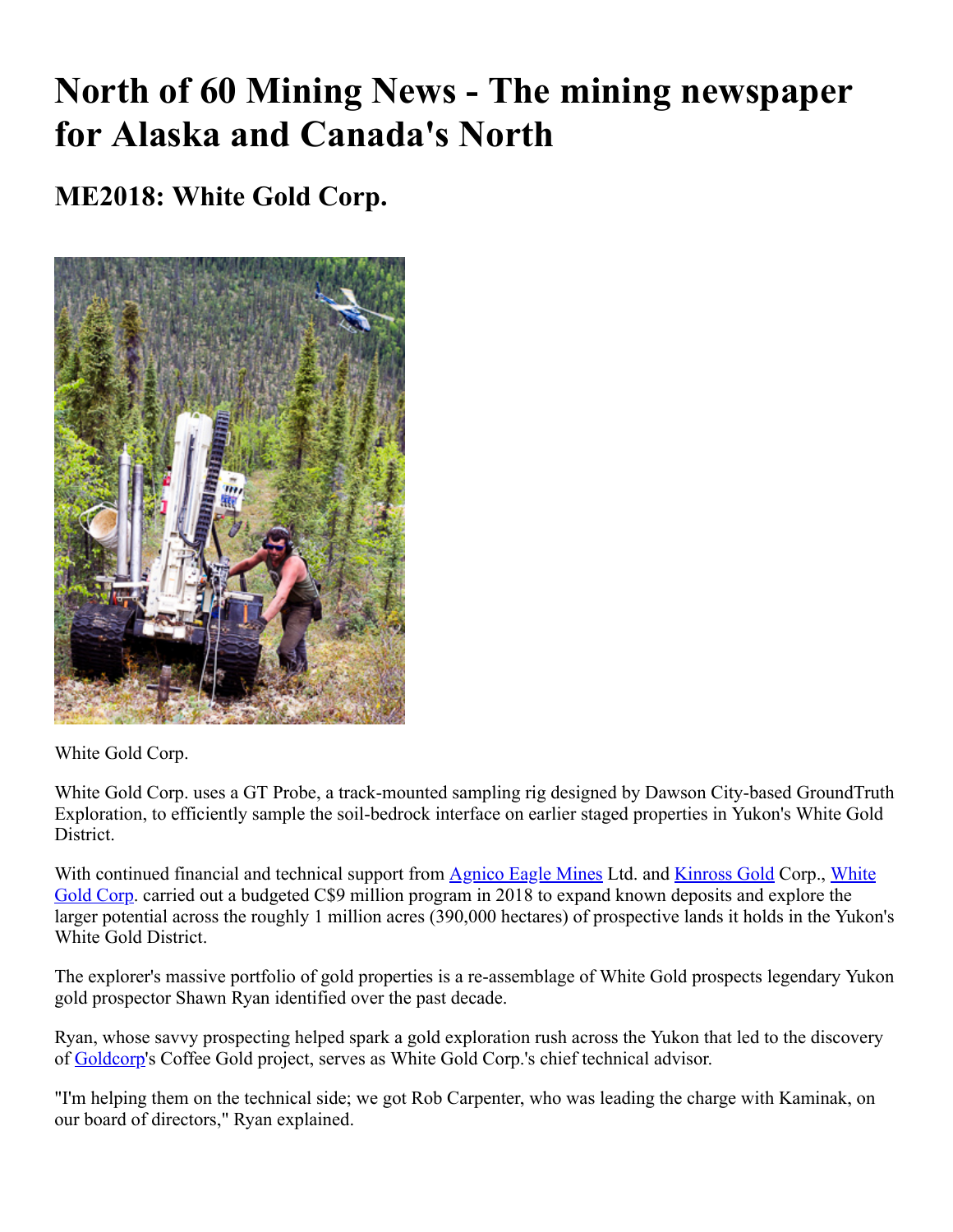# **North of 60 Mining News - The mining newspaper for Alaska and Canada's North**

## **ME2018: White Gold Corp.**



White Gold Corp.

White Gold Corp. uses a GT Probe, a track-mounted sampling rig designed by Dawson City-based GroundTruth Exploration, to efficiently sample the soil-bedrock interface on earlier staged properties in Yukon's White Gold District.

[With continued financial and technical support from Agnico Eagle Mines Ltd. and Kinross Gold Corp., White](https://www.miningnewsnorth.com/search/White_Gold_Corp) Gold Corp. carried out a budgeted C\$9 million program in 2018 to expand known deposits and explore the larger potential across the roughly 1 million acres (390,000 hectares) of prospective lands it holds in the Yukon's White Gold District.

The explorer's massive portfolio of gold properties is a re-assemblage of White Gold prospects legendary Yukon gold prospector Shawn Ryan identified over the past decade.

Ryan, whose savvy prospecting helped spark a gold exploration rush across the Yukon that led to the discovery of [Goldcorp'](https://www.miningnewsnorth.com/search/Goldcorp)s Coffee Gold project, serves as White Gold Corp.'s chief technical advisor.

"I'm helping them on the technical side; we got Rob Carpenter, who was leading the charge with Kaminak, on our board of directors," Ryan explained.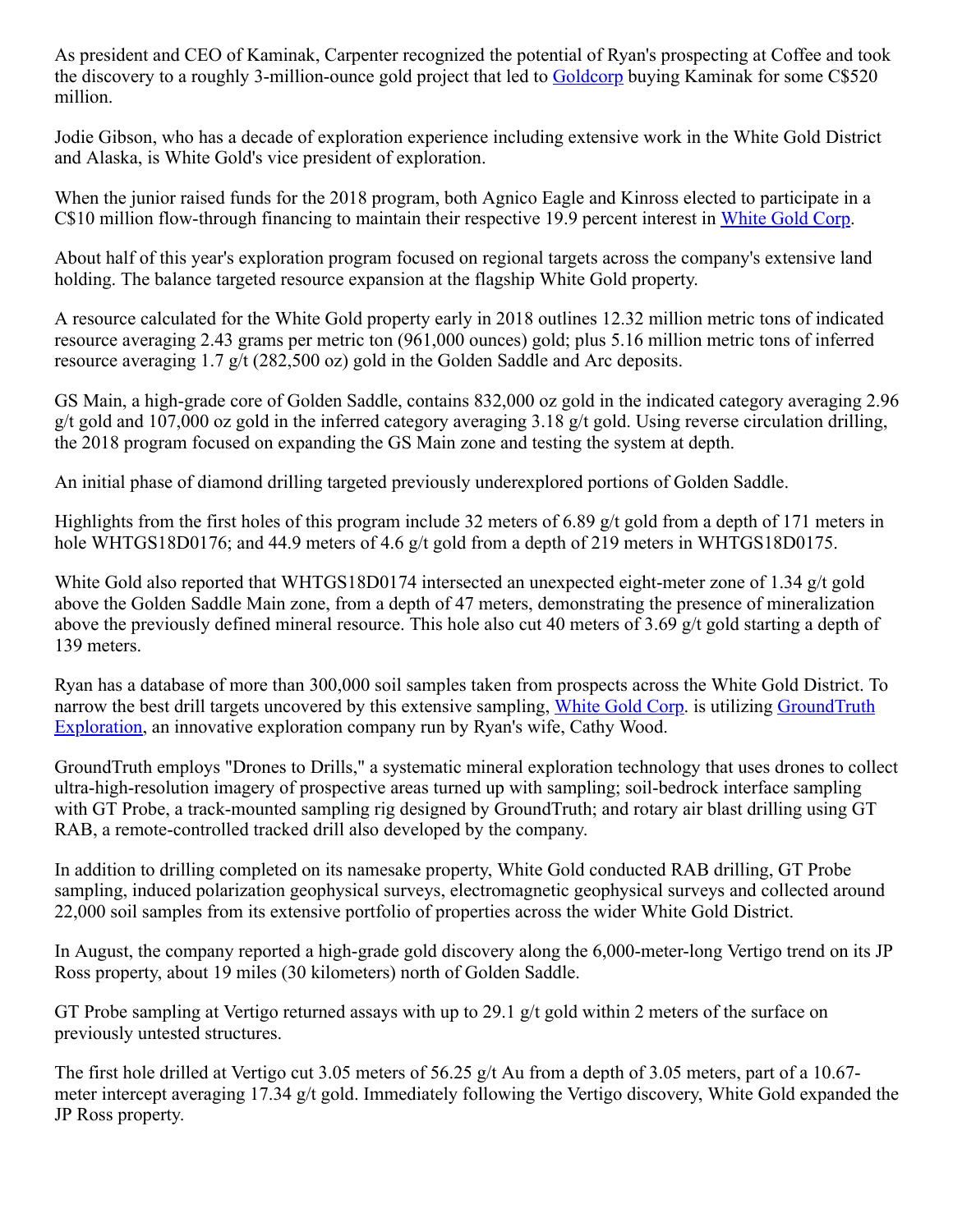As president and CEO of Kaminak, Carpenter recognized the potential of Ryan's prospecting at Coffee and took the discovery to a roughly 3-million-ounce gold project that led to [Goldcorp](https://www.miningnewsnorth.com/search/Goldcorp) buying Kaminak for some C\$520 million.

Jodie Gibson, who has a decade of exploration experience including extensive work in the White Gold District and Alaska, is White Gold's vice president of exploration.

When the junior raised funds for the 2018 program, both Agnico Eagle and Kinross elected to participate in a C\$10 million flow-through financing to maintain their respective 19.9 percent interest in [White Gold Corp](https://www.miningnewsnorth.com/search/White_Gold_Corp).

About half of this year's exploration program focused on regional targets across the company's extensive land holding. The balance targeted resource expansion at the flagship White Gold property.

A resource calculated for the White Gold property early in 2018 outlines 12.32 million metric tons of indicated resource averaging 2.43 grams per metric ton (961,000 ounces) gold; plus 5.16 million metric tons of inferred resource averaging 1.7 g/t (282,500 oz) gold in the Golden Saddle and Arc deposits.

GS Main, a high-grade core of Golden Saddle, contains 832,000 oz gold in the indicated category averaging 2.96 g/t gold and 107,000 oz gold in the inferred category averaging 3.18 g/t gold. Using reverse circulation drilling, the 2018 program focused on expanding the GS Main zone and testing the system at depth.

An initial phase of diamond drilling targeted previously underexplored portions of Golden Saddle.

Highlights from the first holes of this program include 32 meters of 6.89 g/t gold from a depth of 171 meters in hole WHTGS18D0176; and 44.9 meters of 4.6 g/t gold from a depth of 219 meters in WHTGS18D0175.

White Gold also reported that WHTGS18D0174 intersected an unexpected eight-meter zone of 1.34 g/t gold above the Golden Saddle Main zone, from a depth of 47 meters, demonstrating the presence of mineralization above the previously defined mineral resource. This hole also cut 40 meters of 3.69 g/t gold starting a depth of 139 meters.

Ryan has a database of more than 300,000 soil samples taken from prospects across the White Gold District. To [narrow the best drill targets uncovered by this extensive sampling, White Gold Corp. is utilizing GroundTruth](https://www.miningnewsnorth.com/search/GroundTruth_Exploration) Exploration, an innovative exploration company run by Ryan's wife, Cathy Wood.

GroundTruth employs "Drones to Drills," a systematic mineral exploration technology that uses drones to collect ultra-high-resolution imagery of prospective areas turned up with sampling; soil-bedrock interface sampling with GT Probe, a track-mounted sampling rig designed by GroundTruth; and rotary air blast drilling using GT RAB, a remote-controlled tracked drill also developed by the company.

In addition to drilling completed on its namesake property, White Gold conducted RAB drilling, GT Probe sampling, induced polarization geophysical surveys, electromagnetic geophysical surveys and collected around 22,000 soil samples from its extensive portfolio of properties across the wider White Gold District.

In August, the company reported a high-grade gold discovery along the 6,000-meter-long Vertigo trend on its JP Ross property, about 19 miles (30 kilometers) north of Golden Saddle.

GT Probe sampling at Vertigo returned assays with up to 29.1 g/t gold within 2 meters of the surface on previously untested structures.

The first hole drilled at Vertigo cut 3.05 meters of 56.25  $g/t$  Au from a depth of 3.05 meters, part of a 10.67meter intercept averaging 17.34 g/t gold. Immediately following the Vertigo discovery, White Gold expanded the JP Ross property.